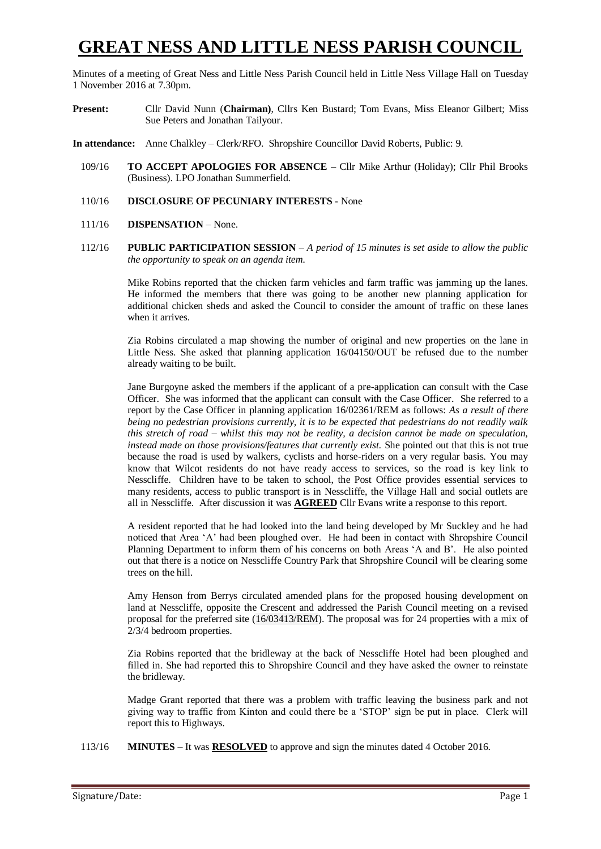# **GREAT NESS AND LITTLE NESS PARISH COUNCIL**

Minutes of a meeting of Great Ness and Little Ness Parish Council held in Little Ness Village Hall on Tuesday 1 November 2016 at 7.30pm.

- **Present:** Cllr David Nunn (**Chairman)**, Cllrs Ken Bustard; Tom Evans, Miss Eleanor Gilbert; Miss Sue Peters and Jonathan Tailyour.
- **In attendance:** Anne Chalkley Clerk/RFO. Shropshire Councillor David Roberts, Public: 9.
	- 109/16 **TO ACCEPT APOLOGIES FOR ABSENCE –** Cllr Mike Arthur (Holiday); Cllr Phil Brooks (Business). LPO Jonathan Summerfield.
	- 110/16 **DISCLOSURE OF PECUNIARY INTERESTS** None
	- 111/16 **DISPENSATION** None.
	- 112/16 **PUBLIC PARTICIPATION SESSION** *A period of 15 minutes is set aside to allow the public the opportunity to speak on an agenda item.*

Mike Robins reported that the chicken farm vehicles and farm traffic was jamming up the lanes. He informed the members that there was going to be another new planning application for additional chicken sheds and asked the Council to consider the amount of traffic on these lanes when it arrives.

Zia Robins circulated a map showing the number of original and new properties on the lane in Little Ness. She asked that planning application 16/04150/OUT be refused due to the number already waiting to be built.

Jane Burgoyne asked the members if the applicant of a pre-application can consult with the Case Officer. She was informed that the applicant can consult with the Case Officer. She referred to a report by the Case Officer in planning application 16/02361/REM as follows: *As a result of there being no pedestrian provisions currently, it is to be expected that pedestrians do not readily walk this stretch of road – whilst this may not be reality, a decision cannot be made on speculation, instead made on those provisions/features that currently exist.* She pointed out that this is not true because the road is used by walkers, cyclists and horse-riders on a very regular basis. You may know that Wilcot residents do not have ready access to services, so the road is key link to Nesscliffe. Children have to be taken to school, the Post Office provides essential services to many residents, access to public transport is in Nesscliffe, the Village Hall and social outlets are all in Nesscliffe. After discussion it was **AGREED** Cllr Evans write a response to this report.

A resident reported that he had looked into the land being developed by Mr Suckley and he had noticed that Area 'A' had been ploughed over. He had been in contact with Shropshire Council Planning Department to inform them of his concerns on both Areas 'A and B'. He also pointed out that there is a notice on Nesscliffe Country Park that Shropshire Council will be clearing some trees on the hill.

Amy Henson from Berrys circulated amended plans for the proposed housing development on land at Nesscliffe, opposite the Crescent and addressed the Parish Council meeting on a revised proposal for the preferred site (16/03413/REM). The proposal was for 24 properties with a mix of 2/3/4 bedroom properties.

Zia Robins reported that the bridleway at the back of Nesscliffe Hotel had been ploughed and filled in. She had reported this to Shropshire Council and they have asked the owner to reinstate the bridleway.

Madge Grant reported that there was a problem with traffic leaving the business park and not giving way to traffic from Kinton and could there be a 'STOP' sign be put in place. Clerk will report this to Highways.

113/16 **MINUTES** – It was **RESOLVED** to approve and sign the minutes dated 4 October 2016.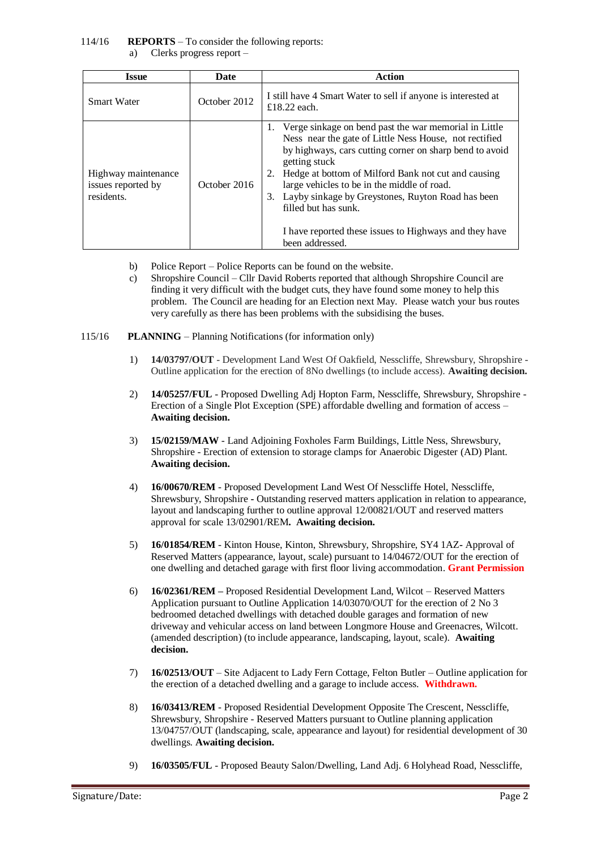### 114/16 **REPORTS** – To consider the following reports:

a) Clerks progress report –

| Issue                                                   | Date         | <b>Action</b>                                                                                                                                                                                                                                                                                                                                                                                                                                                           |  |  |
|---------------------------------------------------------|--------------|-------------------------------------------------------------------------------------------------------------------------------------------------------------------------------------------------------------------------------------------------------------------------------------------------------------------------------------------------------------------------------------------------------------------------------------------------------------------------|--|--|
| <b>Smart Water</b>                                      | October 2012 | I still have 4 Smart Water to sell if anyone is interested at<br>£18.22 each.                                                                                                                                                                                                                                                                                                                                                                                           |  |  |
| Highway maintenance<br>issues reported by<br>residents. | October 2016 | Verge sinkage on bend past the war memorial in Little<br>1.<br>Ness near the gate of Little Ness House, not rectified<br>by highways, cars cutting corner on sharp bend to avoid<br>getting stuck<br>Hedge at bottom of Milford Bank not cut and causing<br>large vehicles to be in the middle of road.<br>Layby sinkage by Greystones, Ruyton Road has been<br>3.<br>filled but has sunk.<br>I have reported these issues to Highways and they have<br>been addressed. |  |  |

- b) Police Report Police Reports can be found on the website.
- c) Shropshire Council Cllr David Roberts reported that although Shropshire Council are finding it very difficult with the budget cuts, they have found some money to help this problem. The Council are heading for an Election next May. Please watch your bus routes very carefully as there has been problems with the subsidising the buses.

#### 115/16 **PLANNING** – Planning Notifications (for information only)

- 1) **14/03797/OUT** Development Land West Of Oakfield, Nesscliffe, Shrewsbury, Shropshire Outline application for the erection of 8No dwellings (to include access). **Awaiting decision.**
- 2) **14/05257/FUL** Proposed Dwelling Adj Hopton Farm, Nesscliffe, Shrewsbury, Shropshire Erection of a Single Plot Exception (SPE) affordable dwelling and formation of access – **Awaiting decision.**
- 3) **15/02159/MAW** Land Adjoining Foxholes Farm Buildings, Little Ness, Shrewsbury, Shropshire - Erection of extension to storage clamps for Anaerobic Digester (AD) Plant. **Awaiting decision.**
- 4) **16/00670/REM** Proposed Development Land West Of Nesscliffe Hotel, Nesscliffe, Shrewsbury, Shropshire **-** Outstanding reserved matters application in relation to appearance, layout and landscaping further to outline approval 12/00821/OUT and reserved matters approval for scale 13/02901/REM**. Awaiting decision.**
- 5) **16/01854/REM** Kinton House, Kinton, Shrewsbury, Shropshire, SY4 1AZ**-** Approval of Reserved Matters (appearance, layout, scale) pursuant to 14/04672/OUT for the erection of one dwelling and detached garage with first floor living accommodation. **Grant Permission**
- 6) **16/02361/REM –** Proposed Residential Development Land, Wilcot Reserved Matters Application pursuant to Outline Application 14/03070/OUT for the erection of 2 No 3 bedroomed detached dwellings with detached double garages and formation of new driveway and vehicular access on land between Longmore House and Greenacres, Wilcott. (amended description) (to include appearance, landscaping, layout, scale). **Awaiting decision.**
- 7) **16/02513/OUT** Site Adjacent to Lady Fern Cottage, Felton Butler Outline application for the erection of a detached dwelling and a garage to include access. **Withdrawn.**
- 8) **16/03413/REM** Proposed Residential Development Opposite The Crescent, Nesscliffe, Shrewsbury, Shropshire - Reserved Matters pursuant to Outline planning application 13/04757/OUT (landscaping, scale, appearance and layout) for residential development of 30 dwellings. **Awaiting decision.**
- 9) **16/03505/FUL** Proposed Beauty Salon/Dwelling, Land Adj. 6 Holyhead Road, Nesscliffe,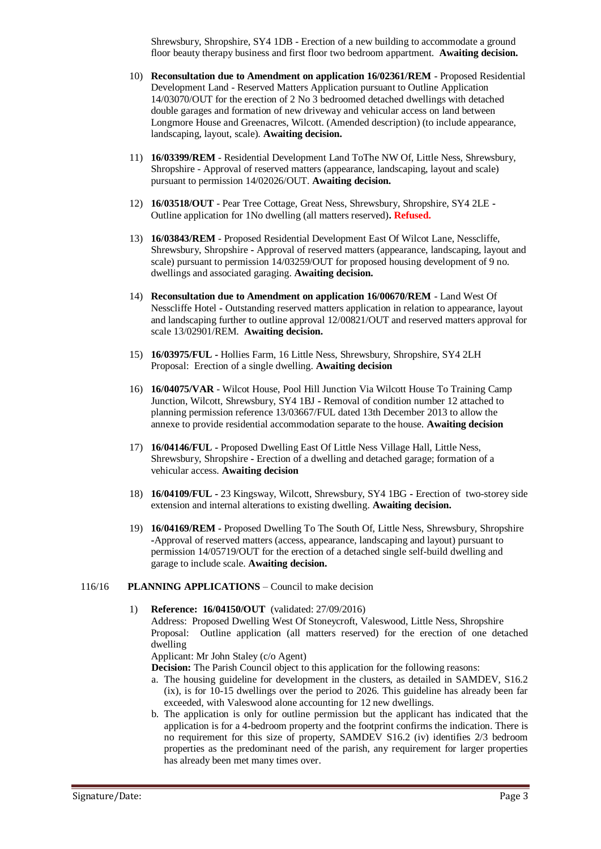Shrewsbury, Shropshire, SY4 1DB - Erection of a new building to accommodate a ground floor beauty therapy business and first floor two bedroom appartment. **Awaiting decision.**

- 10) **Reconsultation due to Amendment on application 16/02361/REM** Proposed Residential Development Land - Reserved Matters Application pursuant to Outline Application 14/03070/OUT for the erection of 2 No 3 bedroomed detached dwellings with detached double garages and formation of new driveway and vehicular access on land between Longmore House and Greenacres, Wilcott. (Amended description) (to include appearance, landscaping, layout, scale). **Awaiting decision.**
- 11) **16/03399/REM** Residential Development Land ToThe NW Of, Little Ness, Shrewsbury, Shropshire - Approval of reserved matters (appearance, landscaping, layout and scale) pursuant to permission 14/02026/OUT. **Awaiting decision.**
- 12) **16/03518/OUT** Pear Tree Cottage, Great Ness, Shrewsbury, Shropshire, SY4 2LE **-** Outline application for 1No dwelling (all matters reserved)**. Refused.**
- 13) **16/03843/REM** Proposed Residential Development East Of Wilcot Lane, Nesscliffe, Shrewsbury, Shropshire **-** Approval of reserved matters (appearance, landscaping, layout and scale) pursuant to permission 14/03259/OUT for proposed housing development of 9 no. dwellings and associated garaging. **Awaiting decision.**
- 14) **Reconsultation due to Amendment on application 16/00670/REM** Land West Of Nesscliffe Hotel **-** Outstanding reserved matters application in relation to appearance, layout and landscaping further to outline approval 12/00821/OUT and reserved matters approval for scale 13/02901/REM. **Awaiting decision.**
- 15) **16/03975/FUL -** Hollies Farm, 16 Little Ness, Shrewsbury, Shropshire, SY4 2LH Proposal: Erection of a single dwelling. **Awaiting decision**
- 16) **16/04075/VAR** Wilcot House, Pool Hill Junction Via Wilcott House To Training Camp Junction, Wilcott, Shrewsbury, SY4 1BJ **-** Removal of condition number 12 attached to planning permission reference 13/03667/FUL dated 13th December 2013 to allow the annexe to provide residential accommodation separate to the house. **Awaiting decision**
- 17) **16/04146/FUL -** Proposed Dwelling East Of Little Ness Village Hall, Little Ness, Shrewsbury, Shropshire **-** Erection of a dwelling and detached garage; formation of a vehicular access. **Awaiting decision**
- 18) **16/04109/FUL -** 23 Kingsway, Wilcott, Shrewsbury, SY4 1BG **-** Erection of two-storey side extension and internal alterations to existing dwelling. **Awaiting decision.**
- 19) **16/04169/REM -** Proposed Dwelling To The South Of, Little Ness, Shrewsbury, Shropshire **-**Approval of reserved matters (access, appearance, landscaping and layout) pursuant to permission 14/05719/OUT for the erection of a detached single self-build dwelling and garage to include scale. **Awaiting decision.**

#### 116/16 **PLANNING APPLICATIONS** – Council to make decision

1) **Reference: 16/04150/OUT** (validated: 27/09/2016)

Address: Proposed Dwelling West Of Stoneycroft, Valeswood, Little Ness, Shropshire Proposal: Outline application (all matters reserved) for the erection of one detached dwelling

Applicant: Mr John Staley (c/o Agent)

**Decision:** The Parish Council object to this application for the following reasons:

- a. The housing guideline for development in the clusters, as detailed in SAMDEV, S16.2 (ix), is for 10-15 dwellings over the period to 2026. This guideline has already been far exceeded, with Valeswood alone accounting for 12 new dwellings.
- b. The application is only for outline permission but the applicant has indicated that the application is for a 4-bedroom property and the footprint confirms the indication. There is no requirement for this size of property, SAMDEV S16.2 (iv) identifies 2/3 bedroom properties as the predominant need of the parish, any requirement for larger properties has already been met many times over.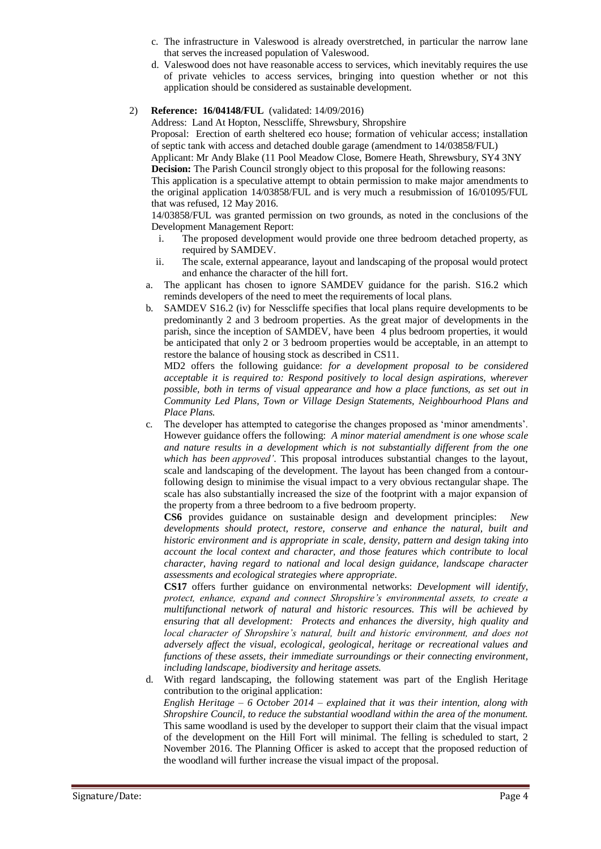- c. The infrastructure in Valeswood is already overstretched, in particular the narrow lane that serves the increased population of Valeswood.
- d. Valeswood does not have reasonable access to services, which inevitably requires the use of private vehicles to access services, bringing into question whether or not this application should be considered as sustainable development.
- 2) **Reference: 16/04148/FUL** (validated: 14/09/2016)

Address: Land At Hopton, Nesscliffe, Shrewsbury, Shropshire

Proposal: Erection of earth sheltered eco house; formation of vehicular access; installation of septic tank with access and detached double garage (amendment to 14/03858/FUL)

Applicant: Mr Andy Blake (11 Pool Meadow Close, Bomere Heath, Shrewsbury, SY4 3NY **Decision:** The Parish Council strongly object to this proposal for the following reasons:

This application is a speculative attempt to obtain permission to make major amendments to the original application 14/03858/FUL and is very much a resubmission of 16/01095/FUL that was refused, 12 May 2016.

14/03858/FUL was granted permission on two grounds, as noted in the conclusions of the Development Management Report:

- i. The proposed development would provide one three bedroom detached property, as required by SAMDEV.
- ii. The scale, external appearance, layout and landscaping of the proposal would protect and enhance the character of the hill fort.
- a. The applicant has chosen to ignore SAMDEV guidance for the parish. S16.2 which reminds developers of the need to meet the requirements of local plans.
- b. SAMDEV S16.2 (iv) for Nesscliffe specifies that local plans require developments to be predominantly 2 and 3 bedroom properties. As the great major of developments in the parish, since the inception of SAMDEV, have been 4 plus bedroom properties, it would be anticipated that only 2 or 3 bedroom properties would be acceptable, in an attempt to restore the balance of housing stock as described in CS11.

MD2 offers the following guidance: *for a development proposal to be considered acceptable it is required to: Respond positively to local design aspirations, wherever possible, both in terms of visual appearance and how a place functions, as set out in Community Led Plans, Town or Village Design Statements, Neighbourhood Plans and Place Plans.*

c. The developer has attempted to categorise the changes proposed as 'minor amendments'. However guidance offers the following: *A minor material amendment is one whose scale and nature results in a development which is not substantially different from the one which has been approved'*. This proposal introduces substantial changes to the layout, scale and landscaping of the development. The layout has been changed from a contourfollowing design to minimise the visual impact to a very obvious rectangular shape. The scale has also substantially increased the size of the footprint with a major expansion of the property from a three bedroom to a five bedroom property.

**CS6** provides guidance on sustainable design and development principles: *New developments should protect, restore, conserve and enhance the natural, built and historic environment and is appropriate in scale, density, pattern and design taking into account the local context and character, and those features which contribute to local character, having regard to national and local design guidance, landscape character assessments and ecological strategies where appropriate.*

**CS17** offers further guidance on environmental networks: *Development will identify, protect, enhance, expand and connect Shropshire's environmental assets, to create a multifunctional network of natural and historic resources. This will be achieved by ensuring that all development: Protects and enhances the diversity, high quality and local character of Shropshire's natural, built and historic environment, and does not adversely affect the visual, ecological, geological, heritage or recreational values and functions of these assets, their immediate surroundings or their connecting environment, including landscape, biodiversity and heritage assets.*

d. With regard landscaping, the following statement was part of the English Heritage contribution to the original application: *English Heritage – 6 October 2014 – explained that it was their intention, along with Shropshire Council, to reduce the substantial woodland within the area of the monument.*  This same woodland is used by the developer to support their claim that the visual impact of the development on the Hill Fort will minimal. The felling is scheduled to start, 2 November 2016. The Planning Officer is asked to accept that the proposed reduction of the woodland will further increase the visual impact of the proposal.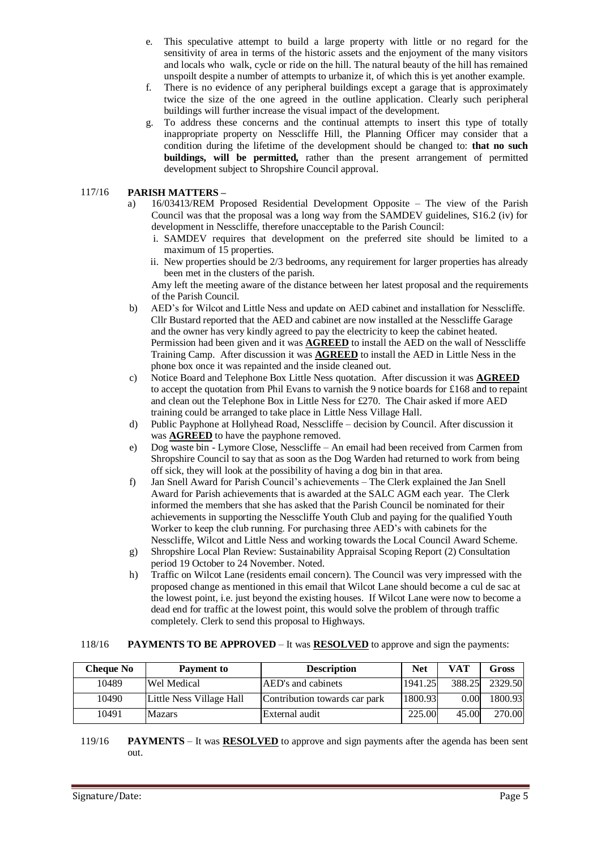- e. This speculative attempt to build a large property with little or no regard for the sensitivity of area in terms of the historic assets and the enjoyment of the many visitors and locals who walk, cycle or ride on the hill. The natural beauty of the hill has remained unspoilt despite a number of attempts to urbanize it, of which this is yet another example.
- f. There is no evidence of any peripheral buildings except a garage that is approximately twice the size of the one agreed in the outline application. Clearly such peripheral buildings will further increase the visual impact of the development.
- g. To address these concerns and the continual attempts to insert this type of totally inappropriate property on Nesscliffe Hill, the Planning Officer may consider that a condition during the lifetime of the development should be changed to: **that no such buildings, will be permitted,** rather than the present arrangement of permitted development subject to Shropshire Council approval.

#### 117/16 **PARISH MATTERS –**

- a) 16/03413/REM Proposed Residential Development Opposite The view of the Parish Council was that the proposal was a long way from the SAMDEV guidelines, S16.2 (iv) for development in Nesscliffe, therefore unacceptable to the Parish Council:
	- i. SAMDEV requires that development on the preferred site should be limited to a maximum of 15 properties.
	- ii. New properties should be 2/3 bedrooms, any requirement for larger properties has already been met in the clusters of the parish.

Amy left the meeting aware of the distance between her latest proposal and the requirements of the Parish Council.

- b) AED's for Wilcot and Little Ness and update on AED cabinet and installation for Nesscliffe. Cllr Bustard reported that the AED and cabinet are now installed at the Nesscliffe Garage and the owner has very kindly agreed to pay the electricity to keep the cabinet heated. Permission had been given and it was **AGREED** to install the AED on the wall of Nesscliffe Training Camp. After discussion it was **AGREED** to install the AED in Little Ness in the phone box once it was repainted and the inside cleaned out.
- c) Notice Board and Telephone Box Little Ness quotation. After discussion it was **AGREED** to accept the quotation from Phil Evans to varnish the 9 notice boards for £168 and to repaint and clean out the Telephone Box in Little Ness for £270. The Chair asked if more AED training could be arranged to take place in Little Ness Village Hall.
- d) Public Payphone at Hollyhead Road, Nesscliffe decision by Council. After discussion it was **AGREED** to have the payphone removed.
- e) Dog waste bin Lymore Close, Nesscliffe An email had been received from Carmen from Shropshire Council to say that as soon as the Dog Warden had returned to work from being off sick, they will look at the possibility of having a dog bin in that area.
- f) Jan Snell Award for Parish Council's achievements The Clerk explained the Jan Snell Award for Parish achievements that is awarded at the SALC AGM each year. The Clerk informed the members that she has asked that the Parish Council be nominated for their achievements in supporting the Nesscliffe Youth Club and paying for the qualified Youth Worker to keep the club running. For purchasing three AED's with cabinets for the Nesscliffe, Wilcot and Little Ness and working towards the Local Council Award Scheme.
- g) Shropshire Local Plan Review: Sustainability Appraisal Scoping Report (2) Consultation period 19 October to 24 November. Noted.
- h) Traffic on Wilcot Lane (residents email concern). The Council was very impressed with the proposed change as mentioned in this email that Wilcot Lane should become a cul de sac at the lowest point, i.e. just beyond the existing houses. If Wilcot Lane were now to become a dead end for traffic at the lowest point, this would solve the problem of through traffic completely. Clerk to send this proposal to Highways.

#### 118/16 **PAYMENTS TO BE APPROVED** – It was **RESOLVED** to approve and sign the payments:

| <b>Cheque No</b> | <b>Payment to</b>        | <b>Description</b>            | <b>Net</b> | VAT    | Gross   |
|------------------|--------------------------|-------------------------------|------------|--------|---------|
| 10489            | Wel Medical              | AED's and cabinets            | 1941.25    | 388.25 | 2329.50 |
| 10490            | Little Ness Village Hall | Contribution towards car park | 1800.93    | 0.00   | 1800.93 |
| 10491            | <b>Mazars</b>            | External audit                | 225.00     | 45.00  | 270.00  |

119/16 **PAYMENTS** – It was **RESOLVED** to approve and sign payments after the agenda has been sent out.